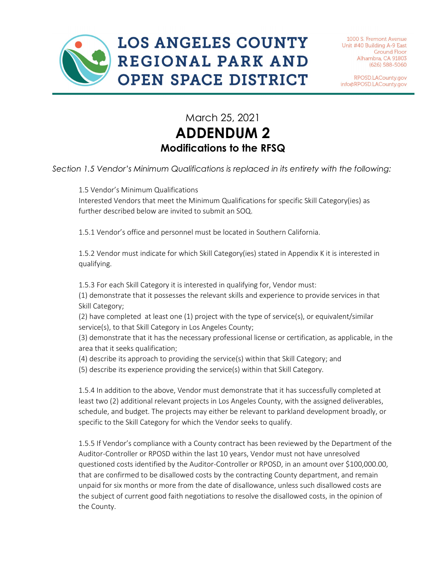RPOSD.LACounty.gov info@RPOSD.LACounty.gov

## March 25, 2021 **ADDENDUM 2 Modifications to the RFSQ**

*Section 1.5 Vendor's Minimum Qualifications is replaced in its entirety with the following:*

1.5 Vendor's Minimum Qualifications

Interested Vendors that meet the Minimum Qualifications for specific Skill Category(ies) as further described below are invited to submit an SOQ.

1.5.1 Vendor's office and personnel must be located in Southern California.

1.5.2 Vendor must indicate for which Skill Category(ies) stated in Appendix K it is interested in qualifying.

1.5.3 For each Skill Category it is interested in qualifying for, Vendor must:

(1) demonstrate that it possesses the relevant skills and experience to provide services in that Skill Category;

(2) have completed at least one (1) project with the type of service(s), or equivalent/similar service(s), to that Skill Category in Los Angeles County;

(3) demonstrate that it has the necessary professional license or certification, as applicable, in the area that it seeks qualification;

(4) describe its approach to providing the service(s) within that Skill Category; and

(5) describe its experience providing the service(s) within that Skill Category.

1.5.4 In addition to the above, Vendor must demonstrate that it has successfully completed at least two (2) additional relevant projects in Los Angeles County, with the assigned deliverables, schedule, and budget. The projects may either be relevant to parkland development broadly, or specific to the Skill Category for which the Vendor seeks to qualify.

1.5.5 If Vendor's compliance with a County contract has been reviewed by the Department of the Auditor-Controller or RPOSD within the last 10 years, Vendor must not have unresolved questioned costs identified by the Auditor-Controller or RPOSD, in an amount over \$100,000.00, that are confirmed to be disallowed costs by the contracting County department, and remain unpaid for six months or more from the date of disallowance, unless such disallowed costs are the subject of current good faith negotiations to resolve the disallowed costs, in the opinion of the County.